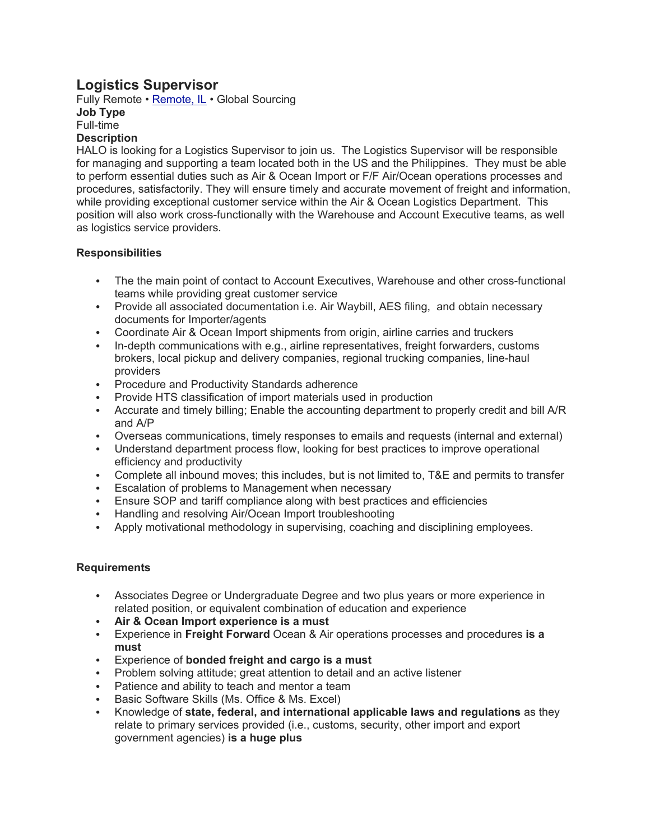# **Logistics Supervisor**

Fully Remote • Remote, IL • Global Sourcing

**Job Type** Full-time

## **Description**

HALO is looking for a Logistics Supervisor to join us. The Logistics Supervisor will be responsible for managing and supporting a team located both in the US and the Philippines. They must be able to perform essential duties such as Air & Ocean Import or F/F Air/Ocean operations processes and procedures, satisfactorily. They will ensure timely and accurate movement of freight and information, while providing exceptional customer service within the Air & Ocean Logistics Department. This position will also work cross-functionally with the Warehouse and Account Executive teams, as well as logistics service providers.

## **Responsibilities**

- The the main point of contact to Account Executives, Warehouse and other cross-functional teams while providing great customer service
- Provide all associated documentation i.e. Air Waybill, AES filing, and obtain necessary documents for Importer/agents
- Coordinate Air & Ocean Import shipments from origin, airline carries and truckers
- In-depth communications with e.g., airline representatives, freight forwarders, customs brokers, local pickup and delivery companies, regional trucking companies, line-haul providers
- Procedure and Productivity Standards adherence
- Provide HTS classification of import materials used in production
- Accurate and timely billing; Enable the accounting department to properly credit and bill A/R and A/P
- Overseas communications, timely responses to emails and requests (internal and external)
- Understand department process flow, looking for best practices to improve operational efficiency and productivity
- Complete all inbound moves; this includes, but is not limited to, T&E and permits to transfer
- Escalation of problems to Management when necessary
- Ensure SOP and tariff compliance along with best practices and efficiencies
- Handling and resolving Air/Ocean Import troubleshooting
- Apply motivational methodology in supervising, coaching and disciplining employees.

### **Requirements**

- Associates Degree or Undergraduate Degree and two plus years or more experience in related position, or equivalent combination of education and experience
- **Air & Ocean Import experience is a must**
- Experience in **Freight Forward** Ocean & Air operations processes and procedures **is a must**
- Experience of **bonded freight and cargo is a must**
- Problem solving attitude; great attention to detail and an active listener
- Patience and ability to teach and mentor a team
- Basic Software Skills (Ms. Office & Ms. Excel)
- Knowledge of **state, federal, and international applicable laws and regulations** as they relate to primary services provided (i.e., customs, security, other import and export government agencies) **is a huge plus**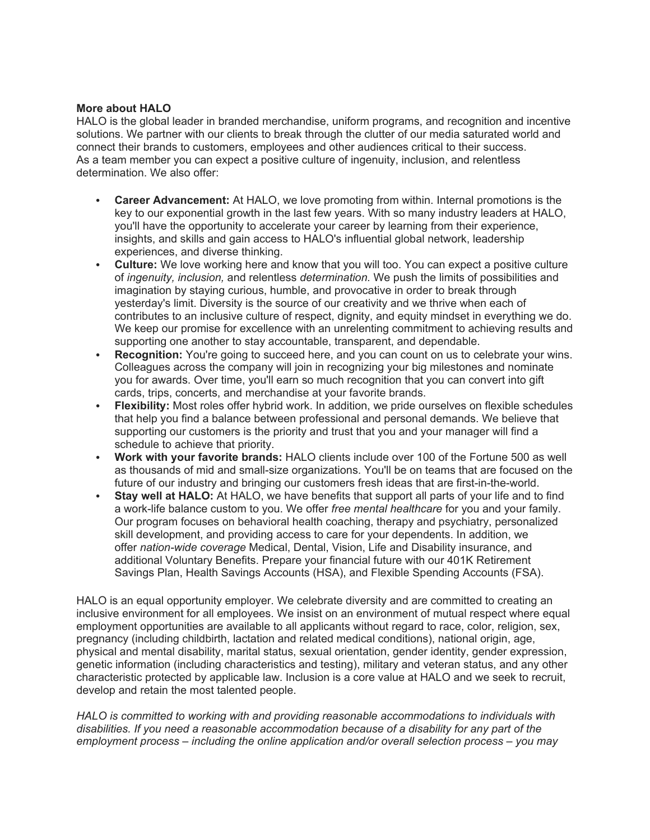### **More about HALO**

HALO is the global leader in branded merchandise, uniform programs, and recognition and incentive solutions. We partner with our clients to break through the clutter of our media saturated world and connect their brands to customers, employees and other audiences critical to their success. As a team member you can expect a positive culture of ingenuity, inclusion, and relentless determination. We also offer:

- **Career Advancement:** At HALO, we love promoting from within. Internal promotions is the key to our exponential growth in the last few years. With so many industry leaders at HALO, you'll have the opportunity to accelerate your career by learning from their experience, insights, and skills and gain access to HALO's influential global network, leadership experiences, and diverse thinking.
- **Culture:** We love working here and know that you will too. You can expect a positive culture of *ingenuity, inclusion,* and relentless *determination.* We push the limits of possibilities and imagination by staying curious, humble, and provocative in order to break through yesterday's limit. Diversity is the source of our creativity and we thrive when each of contributes to an inclusive culture of respect, dignity, and equity mindset in everything we do. We keep our promise for excellence with an unrelenting commitment to achieving results and supporting one another to stay accountable, transparent, and dependable.
- **Recognition:** You're going to succeed here, and you can count on us to celebrate your wins. Colleagues across the company will join in recognizing your big milestones and nominate you for awards. Over time, you'll earn so much recognition that you can convert into gift cards, trips, concerts, and merchandise at your favorite brands.
- **Flexibility:** Most roles offer hybrid work. In addition, we pride ourselves on flexible schedules that help you find a balance between professional and personal demands. We believe that supporting our customers is the priority and trust that you and your manager will find a schedule to achieve that priority.
- **Work with your favorite brands:** HALO clients include over 100 of the Fortune 500 as well as thousands of mid and small-size organizations. You'll be on teams that are focused on the future of our industry and bringing our customers fresh ideas that are first-in-the-world.
- **Stay well at HALO:** At HALO, we have benefits that support all parts of your life and to find a work-life balance custom to you. We offer *free mental healthcare* for you and your family. Our program focuses on behavioral health coaching, therapy and psychiatry, personalized skill development, and providing access to care for your dependents. In addition, we offer *nation-wide coverage* Medical, Dental, Vision, Life and Disability insurance, and additional Voluntary Benefits. Prepare your financial future with our 401K Retirement Savings Plan, Health Savings Accounts (HSA), and Flexible Spending Accounts (FSA).

HALO is an equal opportunity employer. We celebrate diversity and are committed to creating an inclusive environment for all employees. We insist on an environment of mutual respect where equal employment opportunities are available to all applicants without regard to race, color, religion, sex, pregnancy (including childbirth, lactation and related medical conditions), national origin, age, physical and mental disability, marital status, sexual orientation, gender identity, gender expression, genetic information (including characteristics and testing), military and veteran status, and any other characteristic protected by applicable law. Inclusion is a core value at HALO and we seek to recruit, develop and retain the most talented people.

*HALO is committed to working with and providing reasonable accommodations to individuals with disabilities. If you need a reasonable accommodation because of a disability for any part of the employment process – including the online application and/or overall selection process – you may*